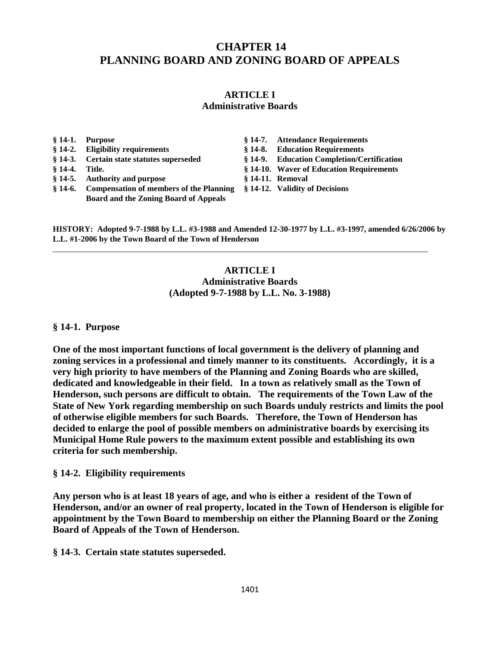## **CHAPTER 14 PLANNING BOARD AND ZONING BOARD OF APPEALS**

# **ARTICLE I**

#### **Administrative Boards**

- 
- 
- 
- **§ 14-5. Authority and purpose § 14-11. Removal**
- **§ 14-6. Compensation of members of the Planning § 14-12. Validity of Decisions Board and the Zoning Board of Appeals**
- **§ 14-1. Purpose § 14-7. Attendance Requirements**
- **§ 14-2. Eligibility requirements § 14-8. Education Requirements**
- **§ 14-3. Certain state statutes superseded § 14-9. Education Completion/Certification**
- **§ 14-4. Title. § 14-10. Waver of Education Requirements** 
	-
	-

**HISTORY: Adopted 9-7-1988 by L.L. #3-1988 and Amended 12-30-1977 by L.L. #3-1997, amended 6/26/2006 by L.L. #1-2006 by the Town Board of the Town of Henderson**

\_\_\_\_\_\_\_\_\_\_\_\_\_\_\_\_\_\_\_\_\_\_\_\_\_\_\_\_\_\_\_\_\_\_\_\_\_\_\_\_\_\_\_\_\_\_\_\_\_\_\_\_\_\_\_\_\_\_\_\_\_\_\_\_\_\_\_\_\_\_\_\_\_\_\_\_\_\_\_\_\_\_\_\_\_\_\_\_\_\_\_\_

## **ARTICLE I Administrative Boards (Adopted 9-7-1988 by L.L. No. 3-1988)**

#### **§ 14-1. Purpose**

**One of the most important functions of local government is the delivery of planning and zoning services in a professional and timely manner to its constituents. Accordingly, it is a very high priority to have members of the Planning and Zoning Boards who are skilled, dedicated and knowledgeable in their field. In a town as relatively small as the Town of Henderson, such persons are difficult to obtain. The requirements of the Town Law of the State of New York regarding membership on such Boards unduly restricts and limits the pool of otherwise eligible members for such Boards. Therefore, the Town of Henderson has decided to enlarge the pool of possible members on administrative boards by exercising its Municipal Home Rule powers to the maximum extent possible and establishing its own criteria for such membership.**

#### **§ 14-2. Eligibility requirements**

**Any person who is at least 18 years of age, and who is either a resident of the Town of Henderson, and/or an owner of real property, located in the Town of Henderson is eligible for appointment by the Town Board to membership on either the Planning Board or the Zoning Board of Appeals of the Town of Henderson.**

**§ 14-3. Certain state statutes superseded.**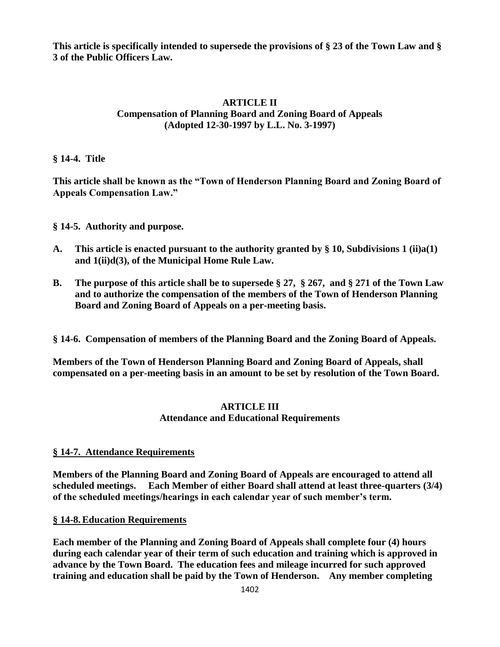**This article is specifically intended to supersede the provisions of § 23 of the Town Law and § 3 of the Public Officers Law.**

#### **ARTICLE II Compensation of Planning Board and Zoning Board of Appeals (Adopted 12-30-1997 by L.L. No. 3-1997)**

**§ 14-4. Title**

**This article shall be known as the "Town of Henderson Planning Board and Zoning Board of Appeals Compensation Law."**

**§ 14-5. Authority and purpose.**

- **A. This article is enacted pursuant to the authority granted by § 10, Subdivisions 1 (ii)a(1) and 1(ii)d(3), of the Municipal Home Rule Law.**
- **B. The purpose of this article shall be to supersede § 27, § 267, and § 271 of the Town Law and to authorize the compensation of the members of the Town of Henderson Planning Board and Zoning Board of Appeals on a per-meeting basis.**

**§ 14-6. Compensation of members of the Planning Board and the Zoning Board of Appeals.**

**Members of the Town of Henderson Planning Board and Zoning Board of Appeals, shall compensated on a per-meeting basis in an amount to be set by resolution of the Town Board.**

#### **ARTICLE III Attendance and Educational Requirements**

## **§ 14-7. Attendance Requirements**

**Members of the Planning Board and Zoning Board of Appeals are encouraged to attend all scheduled meetings. Each Member of either Board shall attend at least three-quarters (3/4) of the scheduled meetings/hearings in each calendar year of such member's term.**

#### **§ 14-8. Education Requirements**

**Each member of the Planning and Zoning Board of Appeals shall complete four (4) hours during each calendar year of their term of such education and training which is approved in advance by the Town Board. The education fees and mileage incurred for such approved training and education shall be paid by the Town of Henderson. Any member completing**